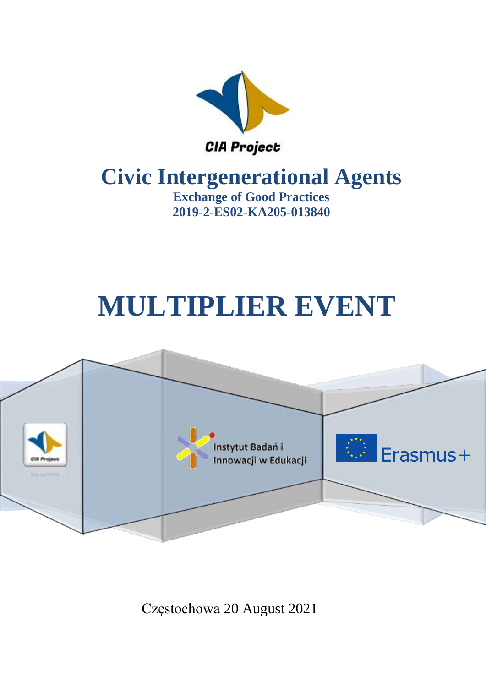

# **Civic Intergenerational Agents**

**Exchange of Good Practices 2019-2-ES02-KA205-013840**

# **MULTIPLIER EVENT**



Częstochowa 20 August 2021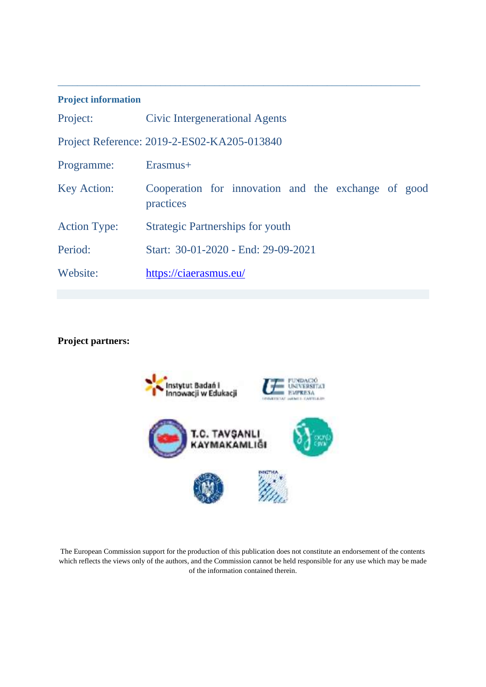#### **Project information**

| Project:                                    | Civic Intergenerational Agents                                   |  |
|---------------------------------------------|------------------------------------------------------------------|--|
| Project Reference: 2019-2-ES02-KA205-013840 |                                                                  |  |
| Programme:                                  | Erasmus+                                                         |  |
| <b>Key Action:</b>                          | Cooperation for innovation and the exchange of good<br>practices |  |
| <b>Action Type:</b>                         | <b>Strategic Partnerships for youth</b>                          |  |
| Period:                                     | Start: 30-01-2020 - End: 29-09-2021                              |  |
| Website:                                    | https://ciaerasmus.eu/                                           |  |

\_\_\_\_\_\_\_\_\_\_\_\_\_\_\_\_\_\_\_\_\_\_\_\_\_\_\_\_\_\_\_\_\_\_\_\_\_\_\_\_\_\_\_\_\_\_\_\_\_\_\_\_\_\_\_\_\_\_\_\_\_\_\_\_\_\_\_\_\_\_\_\_\_\_

### **Project partners:**



The European Commission support for the production of this publication does not constitute an endorsement of the contents which reflects the views only of the authors, and the Commission cannot be held responsible for any use which may be made of the information contained therein.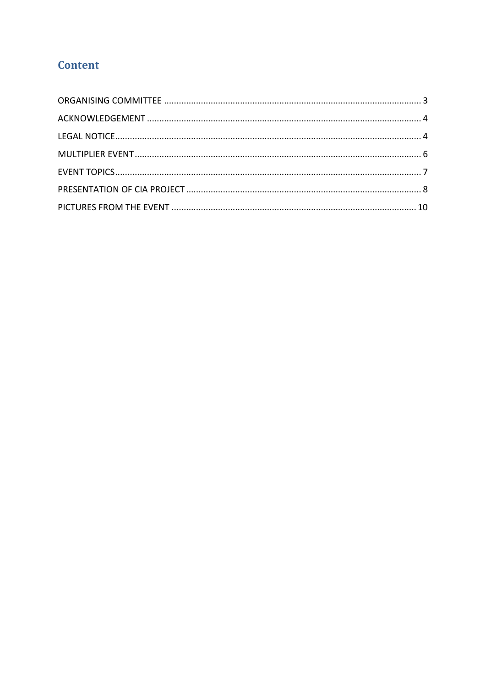# **Content**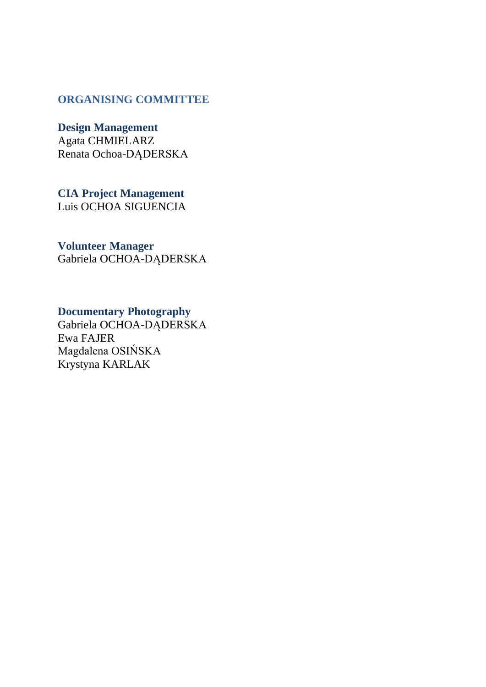#### <span id="page-3-0"></span>**ORGANISING COMMITTEE**

**Design Management**

Agata CHMIELARZ Renata Ochoa-DĄDERSKA

**CIA Project Management**  Luis OCHOA SIGUENCIA

**Volunteer Manager**

Gabriela OCHOA-DĄDERSKA

# **Documentary Photography**

Gabriela OCHOA-DĄDERSKA Ewa FAJER Magdalena OSIŃSKA Krystyna KARLAK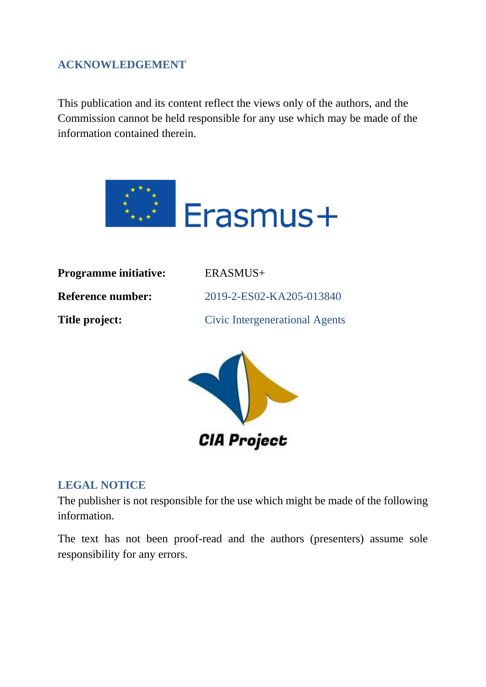# <span id="page-4-0"></span>**ACKNOWLEDGEMENT**

This publication and its content reflect the views only of the authors, and the Commission cannot be held responsible for any use which may be made of the information contained therein.



| <b>Programme initiative:</b> | ERASMUS+                              |
|------------------------------|---------------------------------------|
| <b>Reference number:</b>     | 2019-2-ES02-KA205-013840              |
| Title project:               | <b>Civic Intergenerational Agents</b> |
|                              |                                       |



#### <span id="page-4-1"></span>**LEGAL NOTICE**

The publisher is not responsible for the use which might be made of the following information.

The text has not been proof-read and the authors (presenters) assume sole responsibility for any errors.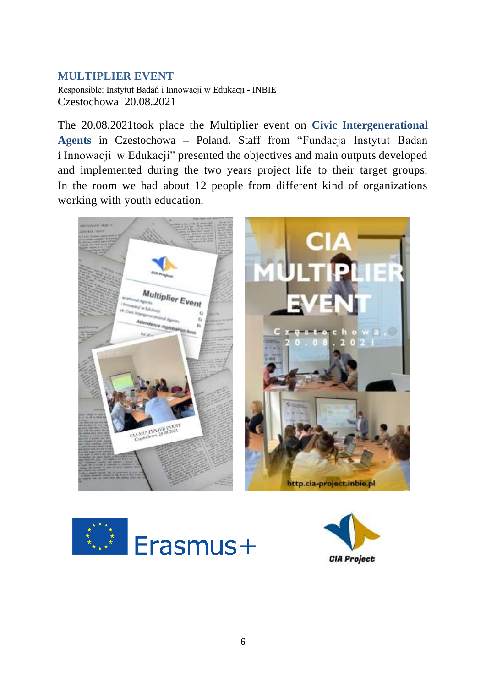### <span id="page-5-0"></span>**MULTIPLIER EVENT**

Responsible: Instytut Badań i Innowacji w Edukacji - INBIE Czestochowa 20.08.2021

The 20.08.2021took place the Multiplier event on **Civic Intergenerational Agents** in Czestochowa – Poland. Staff from "Fundacja Instytut Badan i Innowacji w Edukacji" presented the objectives and main outputs developed and implemented during the two years project life to their target groups. In the room we had about 12 people from different kind of organizations working with youth education.





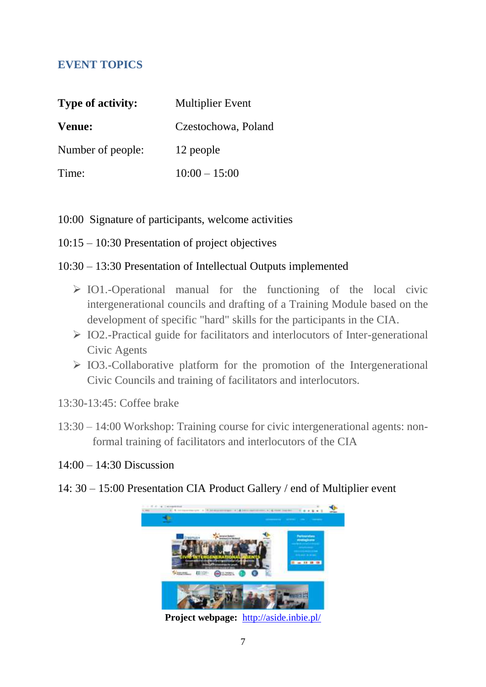# <span id="page-6-0"></span>**EVENT TOPICS**

| <b>Type of activity:</b> | <b>Multiplier Event</b> |  |
|--------------------------|-------------------------|--|
| Venue:                   | Czestochowa, Poland     |  |
| Number of people:        | 12 people               |  |
| Time:                    | $10:00 - 15:00$         |  |

- 10:00 Signature of participants, welcome activities
- 10:15 10:30 Presentation of project objectives

## 10:30 – 13:30 Presentation of Intellectual Outputs implemented

- ➢ IO1.-Operational manual for the functioning of the local civic intergenerational councils and drafting of a Training Module based on the development of specific "hard" skills for the participants in the CIA.
- ➢ IO2.-Practical guide for facilitators and interlocutors of Inter-generational Civic Agents
- ➢ IO3.-Collaborative platform for the promotion of the Intergenerational Civic Councils and training of facilitators and interlocutors.
- 13:30-13:45: Coffee brake
- 13:30 14:00 Workshop: Training course for civic intergenerational agents: nonformal training of facilitators and interlocutors of the CIA
- $14:00 14:30$  Discussion
- 14: 30 15:00 Presentation CIA Product Gallery / end of Multiplier event



**Project webpage:** <http://aside.inbie.pl/>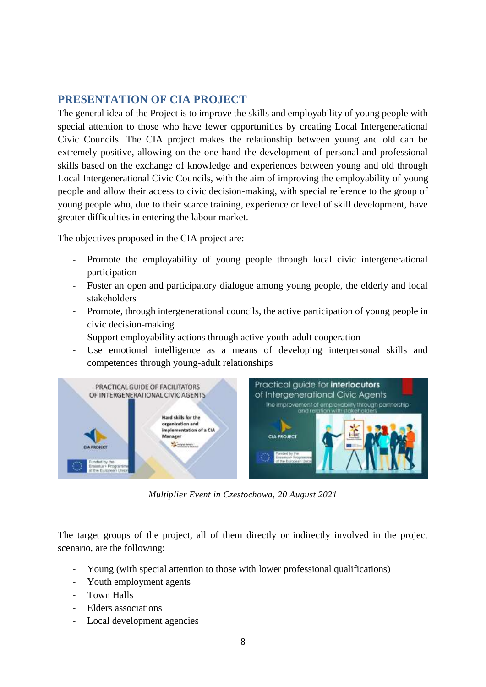#### <span id="page-7-0"></span>**PRESENTATION OF CIA PROJECT**

The general idea of the Project is to improve the skills and employability of young people with special attention to those who have fewer opportunities by creating Local Intergenerational Civic Councils. The CIA project makes the relationship between young and old can be extremely positive, allowing on the one hand the development of personal and professional skills based on the exchange of knowledge and experiences between young and old through Local Intergenerational Civic Councils, with the aim of improving the employability of young people and allow their access to civic decision-making, with special reference to the group of young people who, due to their scarce training, experience or level of skill development, have greater difficulties in entering the labour market.

The objectives proposed in the CIA project are:

- Promote the employability of young people through local civic intergenerational participation
- Foster an open and participatory dialogue among young people, the elderly and local stakeholders
- Promote, through intergenerational councils, the active participation of young people in civic decision-making
- Support employability actions through active youth-adult cooperation
- Use emotional intelligence as a means of developing interpersonal skills and competences through young-adult relationships



*Multiplier Event in Czestochowa, 20 August 2021*

The target groups of the project, all of them directly or indirectly involved in the project scenario, are the following:

- Young (with special attention to those with lower professional qualifications)
- Youth employment agents
- Town Halls
- Elders associations
- Local development agencies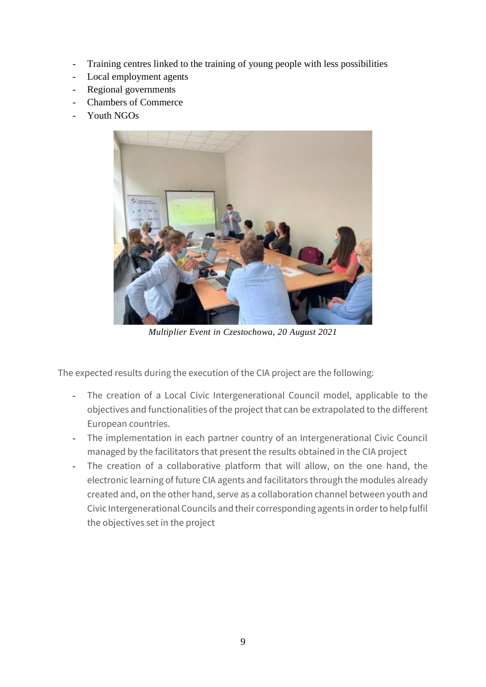- Training centres linked to the training of young people with less possibilities
- Local employment agents
- Regional governments
- Chambers of Commerce
- Youth NGOs



*Multiplier Event in Czestochowa, 20 August 2021*

The expected results during the execution of the CIA project are the following:

- The creation of a Local Civic Intergenerational Council model, applicable to the objectives and functionalities of the project that can be extrapolated to the different European countries.
- The implementation in each partner country of an Intergenerational Civic Council managed by the facilitators that present the results obtained in the CIA project
- The creation of a collaborative platform that will allow, on the one hand, the electronic learning of future CIA agents and facilitators through the modules already created and, on the other hand, serve as a collaboration channel between youth and Civic Intergenerational Councils and their corresponding agents in order to help fulfil the objectives set in the project